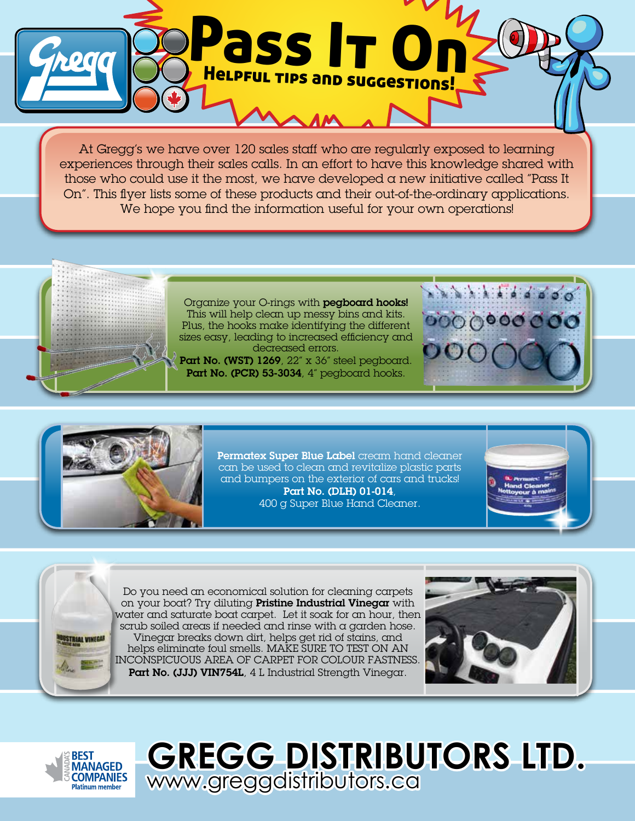

At Gregg's we have over 120 sales staff who are regularly exposed to learning experiences through their sales calls. In an effort to have this knowledge shared with those who could use it the most, we have developed a new initiative called "Pass It On". This flyer lists some of these products and their out-of-the-ordinary applications. We hope you find the information useful for your own operations!

Organize your O-rings with pegboard hooks! This will help clean up messy bins and kits. Plus, the hooks make identifying the different sizes easy, leading to increased efficiency and decreased errors.

Part No. (WST) 1269, 22" x 36" steel pegboard. Part No. (PCR) 53-3034, 4" pegboard hooks.





Permatex Super Blue Label cream hand cleaner can be used to clean and revitalize plastic parts and bumpers on the exterior of cars and trucks! Part No. (DLH) 01-014, 400 g Super Blue Hand Cleaner.





Do you need an economical solution for cleaning carpets on your boat? Try diluting Pristine Industrial Vinegar with water and saturate boat carpet. Let it soak for an hour, then scrub soiled areas if needed and rinse with a garden hose. Vinegar breaks down dirt, helps get rid of stains, and helps eliminate foul smells. MAKE SURE TO TEST ON AN INCONSPICUOUS AREA OF CARPET FOR COLOUR FASTNESS. Part No. (JJJ) VIN754L, 4 L Industrial Strength Vinegar.





**GREGG DISTRIBUTORS LTD.**  www.greggdistributors.ca